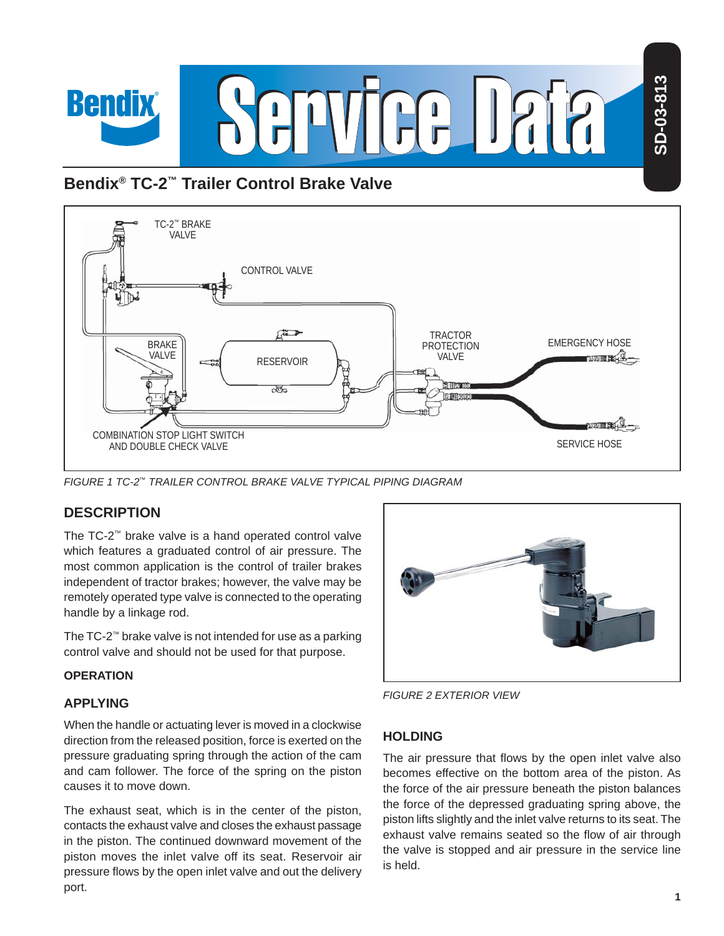

# **Bendix® TC-2™ Trailer Control Brake Valve**



*FIGURE 1 TC-2™ TRAILER CONTROL BRAKE VALVE TYPICAL PIPING DIAGRAM*

# **DESCRIPTION**

The TC-2™ brake valve is a hand operated control valve which features a graduated control of air pressure. The most common application is the control of trailer brakes independent of tractor brakes; however, the valve may be remotely operated type valve is connected to the operating handle by a linkage rod.

The TC-2™ brake valve is not intended for use as a parking control valve and should not be used for that purpose.

### **OPERATION**

### **APPLYING**

When the handle or actuating lever is moved in a clockwise direction from the released position, force is exerted on the pressure graduating spring through the action of the cam and cam follower. The force of the spring on the piston causes it to move down.

The exhaust seat, which is in the center of the piston, contacts the exhaust valve and closes the exhaust passage in the piston. The continued downward movement of the piston moves the inlet valve off its seat. Reservoir air pressure flows by the open inlet valve and out the delivery port.



*FIGURE 2 EXTERIOR VIEW*

### **HOLDING**

The air pressure that flows by the open inlet valve also becomes effective on the bottom area of the piston. As the force of the air pressure beneath the piston balances the force of the depressed graduating spring above, the piston lifts slightly and the inlet valve returns to its seat. The exhaust valve remains seated so the flow of air through the valve is stopped and air pressure in the service line is held.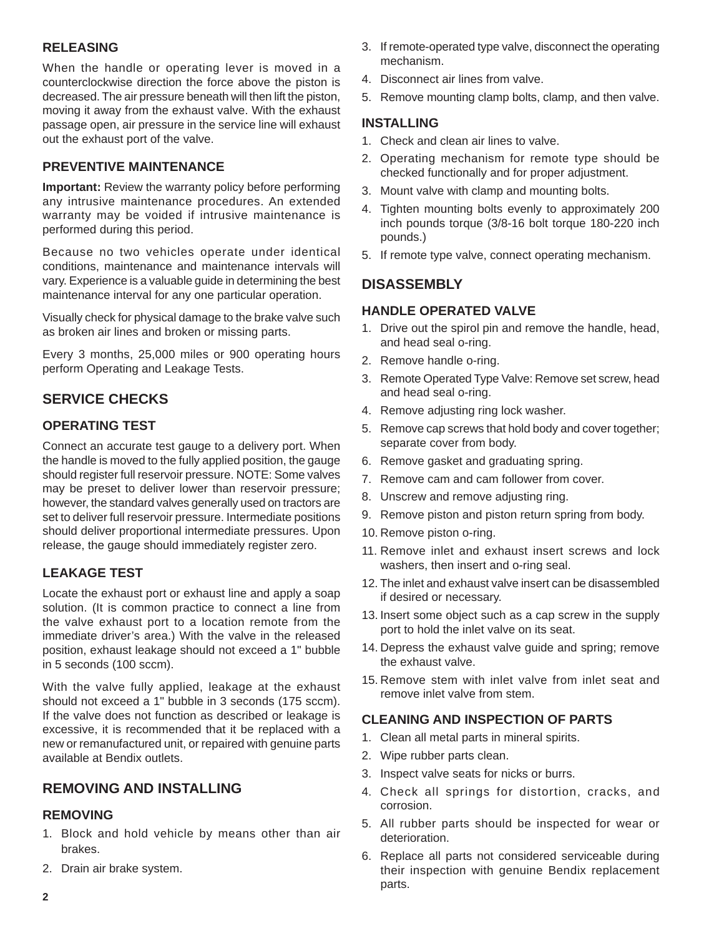### **RELEASING**

When the handle or operating lever is moved in a counterclockwise direction the force above the piston is decreased. The air pressure beneath will then lift the piston, moving it away from the exhaust valve. With the exhaust passage open, air pressure in the service line will exhaust out the exhaust port of the valve.

### **PREVENTIVE MAINTENANCE**

**Important:** Review the warranty policy before performing any intrusive maintenance procedures. An extended warranty may be voided if intrusive maintenance is performed during this period.

Because no two vehicles operate under identical conditions, maintenance and maintenance intervals will vary. Experience is a valuable guide in determining the best maintenance interval for any one particular operation.

Visually check for physical damage to the brake valve such as broken air lines and broken or missing parts.

Every 3 months, 25,000 miles or 900 operating hours perform Operating and Leakage Tests.

# **SERVICE CHECKS**

#### **OPERATING TEST**

Connect an accurate test gauge to a delivery port. When the handle is moved to the fully applied position, the gauge should register full reservoir pressure. NOTE: Some valves may be preset to deliver lower than reservoir pressure; however, the standard valves generally used on tractors are set to deliver full reservoir pressure. Intermediate positions should deliver proportional intermediate pressures. Upon release, the gauge should immediately register zero.

### **LEAKAGE TEST**

Locate the exhaust port or exhaust line and apply a soap solution. (It is common practice to connect a line from the valve exhaust port to a location remote from the immediate driver's area.) With the valve in the released position, exhaust leakage should not exceed a 1" bubble in 5 seconds (100 sccm).

With the valve fully applied, leakage at the exhaust should not exceed a 1" bubble in 3 seconds (175 sccm). If the valve does not function as described or leakage is excessive, it is recommended that it be replaced with a new or remanufactured unit, or repaired with genuine parts available at Bendix outlets.

### **REMOVING AND INSTALLING**

#### **REMOVING**

- 1. Block and hold vehicle by means other than air brakes.
- 2. Drain air brake system.
- 3. If remote-operated type valve, disconnect the operating mechanism.
- 4. Disconnect air lines from valve.
- 5. Remove mounting clamp bolts, clamp, and then valve.

#### **INSTALLING**

- 1. Check and clean air lines to valve.
- 2. Operating mechanism for remote type should be checked functionally and for proper adjustment.
- 3. Mount valve with clamp and mounting bolts.
- 4. Tighten mounting bolts evenly to approximately 200 inch pounds torque (3/8-16 bolt torque 180-220 inch pounds.)
- 5. If remote type valve, connect operating mechanism.

### **DISASSEMBLY**

### **HANDLE OPERATED VALVE**

- 1. Drive out the spirol pin and remove the handle, head, and head seal o-ring.
- 2. Remove handle o-ring.
- 3. Remote Operated Type Valve: Remove set screw, head and head seal o-ring.
- 4. Remove adjusting ring lock washer.
- 5. Remove cap screws that hold body and cover together; separate cover from body.
- 6. Remove gasket and graduating spring.
- 7. Remove cam and cam follower from cover.
- 8. Unscrew and remove adjusting ring.
- 9. Remove piston and piston return spring from body.
- 10. Remove piston o-ring.
- 11. Remove inlet and exhaust insert screws and lock washers, then insert and o-ring seal.
- 12. The inlet and exhaust valve insert can be disassembled if desired or necessary.
- 13. Insert some object such as a cap screw in the supply port to hold the inlet valve on its seat.
- 14. Depress the exhaust valve guide and spring; remove the exhaust valve.
- 15. Remove stem with inlet valve from inlet seat and remove inlet valve from stem.

#### **CLEANING AND INSPECTION OF PARTS**

- 1. Clean all metal parts in mineral spirits.
- 2. Wipe rubber parts clean.
- 3. Inspect valve seats for nicks or burrs.
- 4. Check all springs for distortion, cracks, and corrosion.
- 5. All rubber parts should be inspected for wear or deterioration.
- 6. Replace all parts not considered serviceable during their inspection with genuine Bendix replacement parts.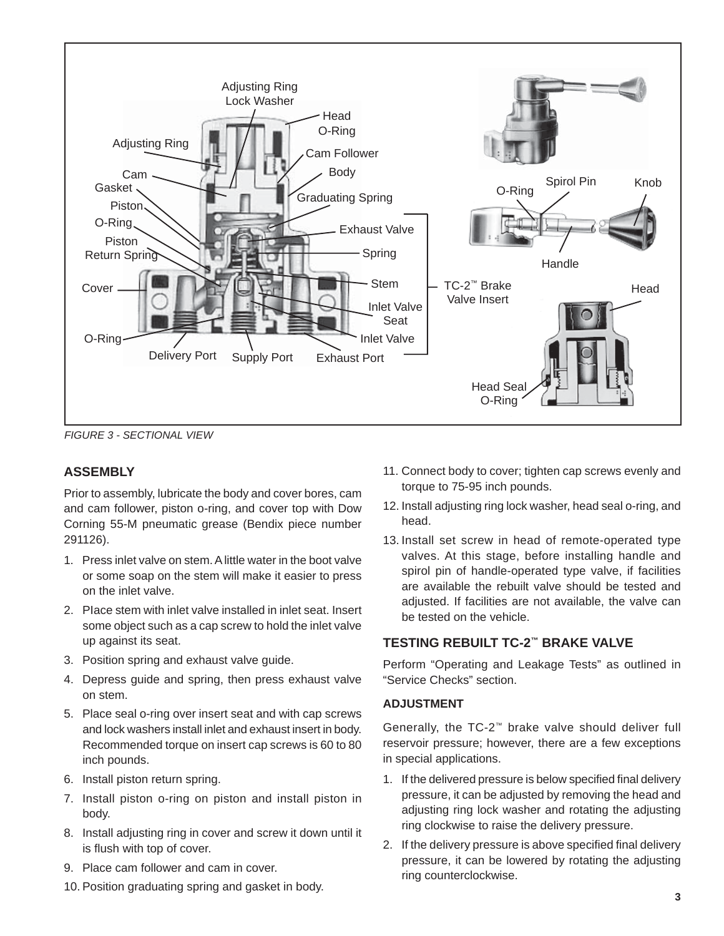

*FIGURE 3 - SECTIONAL VIEW*

### **ASSEMBLY**

Prior to assembly, lubricate the body and cover bores, cam and cam follower, piston o-ring, and cover top with Dow Corning 55-M pneumatic grease (Bendix piece number 291126).

- 1. Press inlet valve on stem. A little water in the boot valve or some soap on the stem will make it easier to press on the inlet valve.
- 2. PIace stem with inlet valve installed in inlet seat. Insert some object such as a cap screw to hold the inlet valve up against its seat.
- 3. Position spring and exhaust valve guide.
- 4. Depress guide and spring, then press exhaust valve on stem.
- 5. Place seal o-ring over insert seat and with cap screws and lock washers install inlet and exhaust insert in body. Recommended torque on insert cap screws is 60 to 80 inch pounds.
- 6. Install piston return spring.
- 7. Install piston o-ring on piston and install piston in body.
- 8. Install adjusting ring in cover and screw it down until it is flush with top of cover.
- 9. Place cam follower and cam in cover.
- 10. Position graduating spring and gasket in body.
- 11. Connect body to cover; tighten cap screws evenly and torque to 75-95 inch pounds.
- 12. Install adjusting ring lock washer, head seal o-ring, and head.
- 13. Install set screw in head of remote-operated type valves. At this stage, before installing handle and spirol pin of handle-operated type valve, if facilities are available the rebuilt valve should be tested and adjusted. If facilities are not available, the valve can be tested on the vehicle.

### **TESTING REBUILT TC-2™ BRAKE VALVE**

Perform "Operating and Leakage Tests" as outlined in "Service Checks" section.

### **ADJUSTMENT**

Generally, the TC-2™ brake valve should deliver full reservoir pressure; however, there are a few exceptions in special applications.

- 1. If the delivered pressure is below specified final delivery pressure, it can be adjusted by removing the head and adjusting ring lock washer and rotating the adjusting ring clockwise to raise the delivery pressure.
- 2. If the delivery pressure is above specified final delivery pressure, it can be lowered by rotating the adjusting ring counterclockwise.